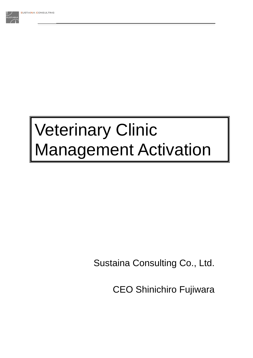

# Veterinary Clinic Management Activation

Sustaina Consulting Co., Ltd.

CEO Shinichiro Fujiwara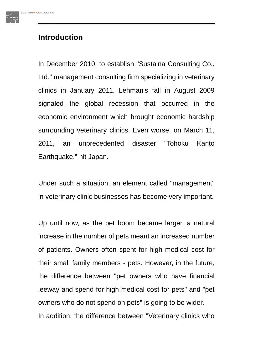# **Introduction**

In December 2010, to establish "Sustaina Consulting Co., Ltd." management consulting firm specializing in veterinary clinics in January 2011. Lehman's fall in August 2009 signaled the global recession that occurred in the economic environment which brought economic hardship surrounding veterinary clinics. Even worse, on March 11, 2011, an unprecedented disaster "Tohoku Kanto Earthquake," hit Japan.

Under such a situation, an element called "management" in veterinary clinic businesses has become very important.

Up until now, as the pet boom became larger, a natural increase in the number of pets meant an increased number of patients. Owners often spent for high medical cost for their small family members - pets. However, in the future, the difference between "pet owners who have financial leeway and spend for high medical cost for pets" and "pet owners who do not spend on pets" is going to be wider. In addition, the difference between "Veterinary clinics who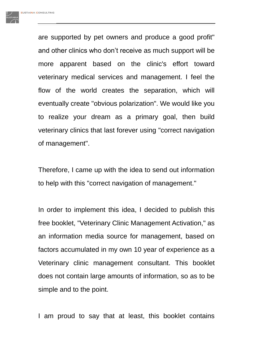are supported by pet owners and produce a good profit" and other clinics who don't receive as much support will be more apparent based on the clinic's effort toward veterinary medical services and management. I feel the flow of the world creates the separation, which will eventually create "obvious polarization". We would like you to realize your dream as a primary goal, then build veterinary clinics that last forever using "correct navigation of management".

Therefore, I came up with the idea to send out information to help with this "correct navigation of management."

In order to implement this idea, I decided to publish this free booklet, "Veterinary Clinic Management Activation," as an information media source for management, based on factors accumulated in my own 10 year of experience as a Veterinary clinic management consultant. This booklet does not contain large amounts of information, so as to be simple and to the point.

I am proud to say that at least, this booklet contains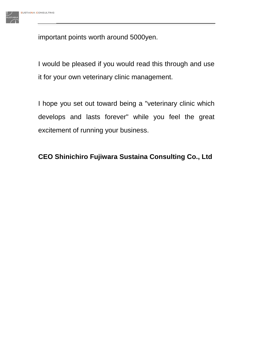important points worth around 5000yen.

I would be pleased if you would read this through and use it for your own veterinary clinic management.

I hope you set out toward being a "veterinary clinic which develops and lasts forever" while you feel the great excitement of running your business.

# **CEO Shinichiro Fujiwara Sustaina Consulting Co., Ltd**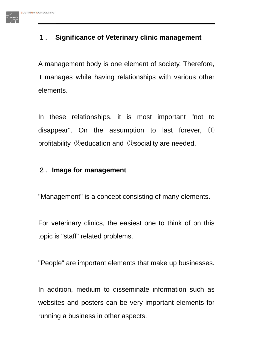# 1. **Significance of Veterinary clinic management**

A management body is one element of society. Therefore, it manages while having relationships with various other elements.

In these relationships, it is most important "not to disappear". On the assumption to last forever, ① profitability ②education and ③sociality are needed.

#### 2.**Image for management**

"Management" is a concept consisting of many elements.

For veterinary clinics, the easiest one to think of on this topic is "staff" related problems.

"People" are important elements that make up businesses.

In addition, medium to disseminate information such as websites and posters can be very important elements for running a business in other aspects.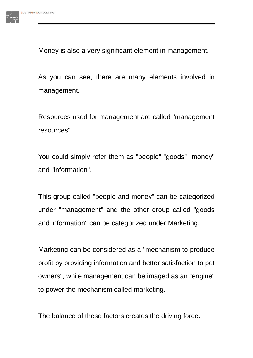

Money is also a very significant element in management.

As you can see, there are many elements involved in management.

Resources used for management are called "management resources".

You could simply refer them as "people" "goods" "money" and "information".

This group called "people and money" can be categorized under "management" and the other group called "goods and information" can be categorized under Marketing.

Marketing can be considered as a "mechanism to produce profit by providing information and better satisfaction to pet owners", while management can be imaged as an "engine" to power the mechanism called marketing.

The balance of these factors creates the driving force.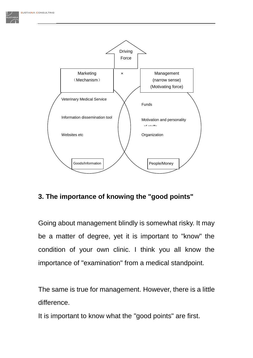

#### **3. The importance of knowing the "good points"**

Going about management blindly is somewhat risky. It may be a matter of degree, yet it is important to "know" the condition of your own clinic. I think you all know the importance of "examination" from a medical standpoint.

The same is true for management. However, there is a little difference.

It is important to know what the "good points" are first.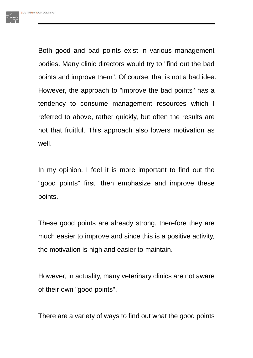Both good and bad points exist in various management bodies. Many clinic directors would try to "find out the bad points and improve them". Of course, that is not a bad idea. However, the approach to "improve the bad points" has a tendency to consume management resources which I referred to above, rather quickly, but often the results are not that fruitful. This approach also lowers motivation as well.

In my opinion, I feel it is more important to find out the "good points" first, then emphasize and improve these points.

These good points are already strong, therefore they are much easier to improve and since this is a positive activity, the motivation is high and easier to maintain.

However, in actuality, many veterinary clinics are not aware of their own "good points".

There are a variety of ways to find out what the good points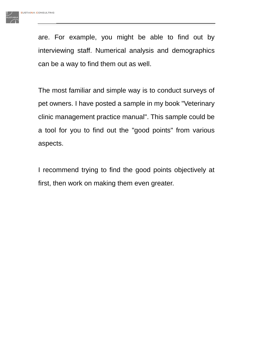are. For example, you might be able to find out by interviewing staff. Numerical analysis and demographics can be a way to find them out as well.

The most familiar and simple way is to conduct surveys of pet owners. I have posted a sample in my book "Veterinary clinic management practice manual". This sample could be a tool for you to find out the "good points" from various aspects.

I recommend trying to find the good points objectively at first, then work on making them even greater.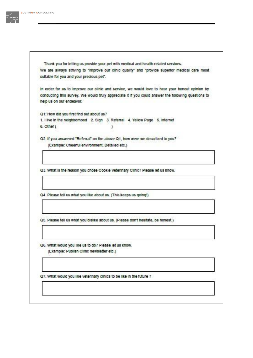

Thank you for letting us provide your pet with medical and health-related services. We are always striving to "improve our clinic quality" and "provide superior medical care most sultable for you and your precious pet".

In order for us to improve our clinic and service, we would love to hear your honest opinion by conducting this survey. We would truly appreciate it if you could answer the following questions to help us on our endeavor.

Q1: How did you first find out about us? 1. I live in the neighborhood 2. Sign 3. Referral 4. Yellow Page 5. Internet 6. Other ( ٦

Q2: If you answered "Referral" on the above Q1, how were we described to you? (Example: Cheerful environment, Detailed etc.)

Q3. What is the reason you chose Cookie Veterinary Clinic? Please let us know.

Q4. Please tell us what you like about us. (This keeps us going!)

Q5. Please tell us what you dislike about us. (Please don't hesitate, be honest.)

Q6. What would you like us to do? Please let us know. (Example: Publish Clinic newsletter etc.)

Q7. What would you like veterinary clinics to be like in the future ?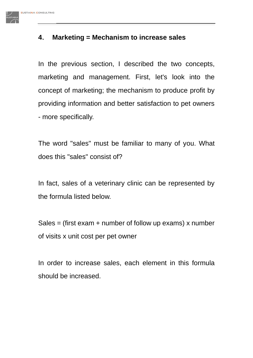#### **4**. **Marketing = Mechanism to increase sales**

In the previous section, I described the two concepts, marketing and management. First, let's look into the concept of marketing; the mechanism to produce profit by providing information and better satisfaction to pet owners - more specifically.

The word "sales" must be familiar to many of you. What does this "sales" consist of?

In fact, sales of a veterinary clinic can be represented by the formula listed below.

Sales = (first exam  $+$  number of follow up exams) x number of visits x unit cost per pet owner

In order to increase sales, each element in this formula should be increased.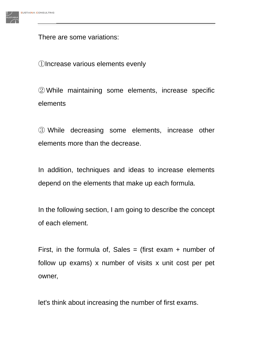There are some variations:

①Increase various elements evenly

②While maintaining some elements, increase specific elements

③ While decreasing some elements, increase other elements more than the decrease.

In addition, techniques and ideas to increase elements depend on the elements that make up each formula.

In the following section, I am going to describe the concept of each element.

First, in the formula of, Sales = (first exam + number of follow up exams) x number of visits x unit cost per pet owner,

let's think about increasing the number of first exams.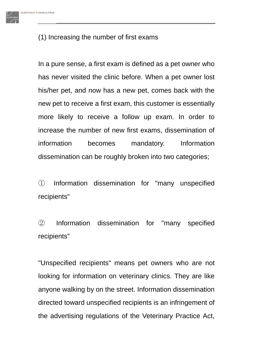### (1) Increasing the number of first exams

In a pure sense, a first exam is defined as a pet owner who has never visited the clinic before. When a pet owner lost his/her pet, and now has a new pet, comes back with the new pet to receive a first exam, this customer is essentially more likely to receive a follow up exam. In order to increase the number of new first exams, dissemination of information becomes mandatory. Information dissemination can be roughly broken into two categories;

① Information dissemination for "many unspecified recipients"

② Information dissemination for "many specified recipients"

"Unspecified recipients" means pet owners who are not looking for information on veterinary clinics. They are like anyone walking by on the street. Information dissemination directed toward unspecified recipients is an infringement of the advertising regulations of the Veterinary Practice Act,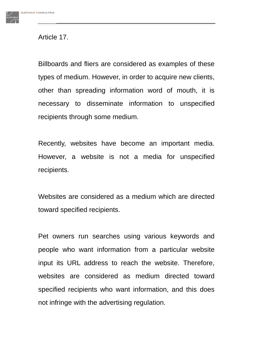

#### Article 17.

Billboards and fliers are considered as examples of these types of medium. However, in order to acquire new clients, other than spreading information word of mouth, it is necessary to disseminate information to unspecified recipients through some medium.

Recently, websites have become an important media. However, a website is not a media for unspecified recipients.

Websites are considered as a medium which are directed toward specified recipients.

Pet owners run searches using various keywords and people who want information from a particular website input its URL address to reach the website. Therefore, websites are considered as medium directed toward specified recipients who want information, and this does not infringe with the advertising regulation.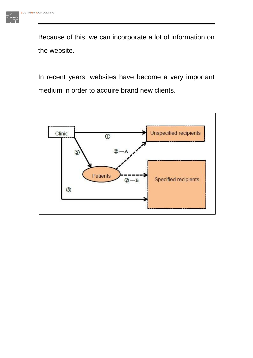Because of this, we can incorporate a lot of information on the website.

In recent years, websites have become a very important medium in order to acquire brand new clients.

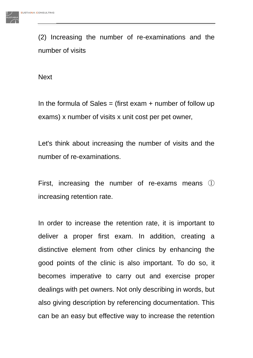(2) Increasing the number of re-examinations and the number of visits

**Next** 

In the formula of Sales  $=$  (first exam  $+$  number of follow up exams) x number of visits x unit cost per pet owner,

Let's think about increasing the number of visits and the number of re-examinations.

First, increasing the number of re-exams means ① increasing retention rate.

In order to increase the retention rate, it is important to deliver a proper first exam. In addition, creating a distinctive element from other clinics by enhancing the good points of the clinic is also important. To do so, it becomes imperative to carry out and exercise proper dealings with pet owners. Not only describing in words, but also giving description by referencing documentation. This can be an easy but effective way to increase the retention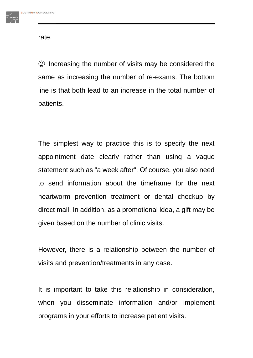rate.

② Increasing the number of visits may be considered the same as increasing the number of re-exams. The bottom line is that both lead to an increase in the total number of patients.

The simplest way to practice this is to specify the next appointment date clearly rather than using a vague statement such as "a week after". Of course, you also need to send information about the timeframe for the next heartworm prevention treatment or dental checkup by direct mail. In addition, as a promotional idea, a gift may be given based on the number of clinic visits.

However, there is a relationship between the number of visits and prevention/treatments in any case.

It is important to take this relationship in consideration, when you disseminate information and/or implement programs in your efforts to increase patient visits.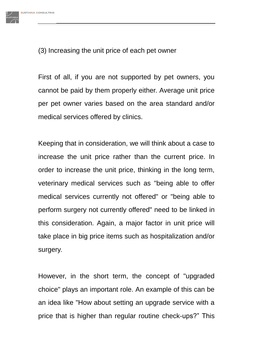

(3) Increasing the unit price of each pet owner

First of all, if you are not supported by pet owners, you cannot be paid by them properly either. Average unit price per pet owner varies based on the area standard and/or medical services offered by clinics.

Keeping that in consideration, we will think about a case to increase the unit price rather than the current price. In order to increase the unit price, thinking in the long term, veterinary medical services such as "being able to offer medical services currently not offered" or "being able to perform surgery not currently offered" need to be linked in this consideration. Again, a major factor in unit price will take place in big price items such as hospitalization and/or surgery.

However, in the short term, the concept of "upgraded choice" plays an important role. An example of this can be an idea like "How about setting an upgrade service with a price that is higher than regular routine check-ups?" This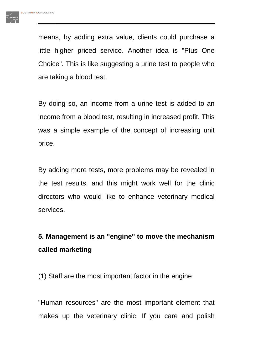means, by adding extra value, clients could purchase a little higher priced service. Another idea is "Plus One Choice". This is like suggesting a urine test to people who are taking a blood test.

By doing so, an income from a urine test is added to an income from a blood test, resulting in increased profit. This was a simple example of the concept of increasing unit price.

By adding more tests, more problems may be revealed in the test results, and this might work well for the clinic directors who would like to enhance veterinary medical services.

# **5. Management is an "engine" to move the mechanism called marketing**

(1) Staff are the most important factor in the engine

"Human resources" are the most important element that makes up the veterinary clinic. If you care and polish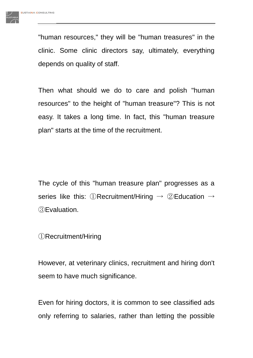"human resources," they will be "human treasures" in the clinic. Some clinic directors say, ultimately, everything depends on quality of staff.

Then what should we do to care and polish "human resources" to the height of "human treasure"? This is not easy. It takes a long time. In fact, this "human treasure plan" starts at the time of the recruitment.

The cycle of this "human treasure plan" progresses as a series like this: ①Recruitment/Hiring  $\rightarrow$  ②Education  $\rightarrow$ ③Evaluation.

①Recruitment/Hiring

However, at veterinary clinics, recruitment and hiring don't seem to have much significance.

Even for hiring doctors, it is common to see classified ads only referring to salaries, rather than letting the possible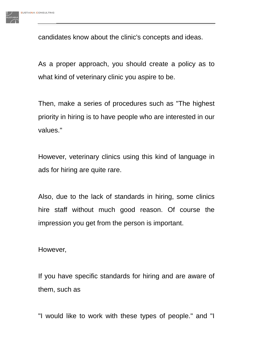

candidates know about the clinic's concepts and ideas.

As a proper approach, you should create a policy as to what kind of veterinary clinic you aspire to be.

Then, make a series of procedures such as "The highest priority in hiring is to have people who are interested in our values."

However, veterinary clinics using this kind of language in ads for hiring are quite rare.

Also, due to the lack of standards in hiring, some clinics hire staff without much good reason. Of course the impression you get from the person is important.

However,

If you have specific standards for hiring and are aware of them, such as

"I would like to work with these types of people." and "I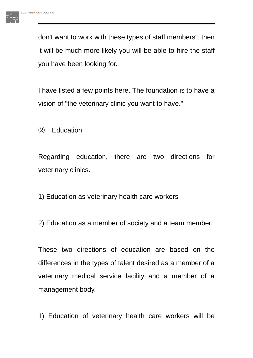don't want to work with these types of staff members", then it will be much more likely you will be able to hire the staff you have been looking for.

I have listed a few points here. The foundation is to have a vision of "the veterinary clinic you want to have."

② Education

Regarding education, there are two directions for veterinary clinics.

1) Education as veterinary health care workers

2) Education as a member of society and a team member.

These two directions of education are based on the differences in the types of talent desired as a member of a veterinary medical service facility and a member of a management body.

1) Education of veterinary health care workers will be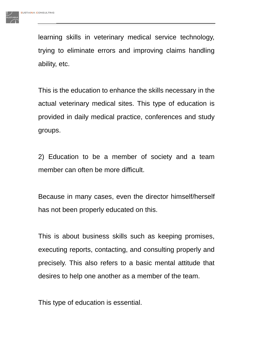learning skills in veterinary medical service technology, trying to eliminate errors and improving claims handling ability, etc.

This is the education to enhance the skills necessary in the actual veterinary medical sites. This type of education is provided in daily medical practice, conferences and study groups.

2) Education to be a member of society and a team member can often be more difficult.

Because in many cases, even the director himself/herself has not been properly educated on this.

This is about business skills such as keeping promises, executing reports, contacting, and consulting properly and precisely. This also refers to a basic mental attitude that desires to help one another as a member of the team.

This type of education is essential.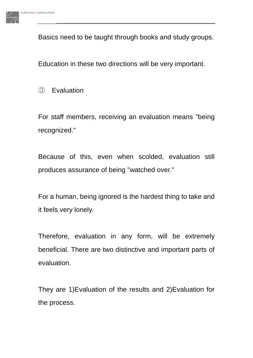Basics need to be taught through books and study groups.

Education in these two directions will be very important.

③ Evaluation

For staff members, receiving an evaluation means "being recognized."

Because of this, even when scolded, evaluation still produces assurance of being "watched over."

For a human, being ignored is the hardest thing to take and it feels very lonely.

Therefore, evaluation in any form, will be extremely beneficial. There are two distinctive and important parts of evaluation.

They are 1)Evaluation of the results and 2)Evaluation for the process.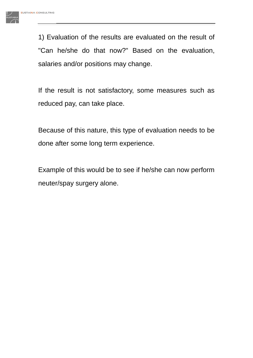1) Evaluation of the results are evaluated on the result of "Can he/she do that now?" Based on the evaluation, salaries and/or positions may change.

If the result is not satisfactory, some measures such as reduced pay, can take place.

Because of this nature, this type of evaluation needs to be done after some long term experience.

Example of this would be to see if he/she can now perform neuter/spay surgery alone.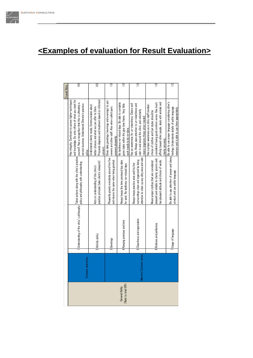#### $\mathsf{G}$ 4.0 1.0  $\Xi$  $\Xi$  $\Xi$  $\Xi$ erall Ratio Has integrity. Continues to pursue higher techniques Has integrity. Continues to pursue higher techniques and knowledge. Do onto others of what you want for and knowledge. Do onto others of what you want for Proceeds diagnosis and treatment based on informed Proceeds diagnosis and treatment based on informed Gives daily greetings (mornings and evenings) to pet Gives daily greetings (mornings and evenings) to pet No tardiness nor missed days. Be able to complete<br>given tasks within the give time frame. Very little considered having good common sense. Has much affinity toward other people, deals with animals and Be able to use proper language considering other's<br>feelings. Understands details of polite language Be able to use proper language considering other's yourself. Has a recognition that this is ultimately a No tardiness nor missed days. Be able to complete considered having good common sense. Has much affinity toward other people, deals with animals and yourself. Has a recognition that this is ultimately a service business. Understands Director's practice Has an awareness for un-cleanliness. Cleans well daily. Always pays attention to un-cleanliness and service business. Understands Director's practice given tasks within the give time frame. Very little Has an awareness for un-cleanliness. Cleans well daily. Always pays attention to un-cleanliness and Inderstands clients needs. Communicates about das a proper awareness as a clinic staff member, Has a proper awareness as a clinic staff member, Understands clients needs. Communicates about owners and other staff. Also when called upon, better choices and what we can offer to them. owners and other staff. Also when called upon, better choices and what we can offer to them feelings. Understands details of polite language manners and is able to use them appropriately. nanners and is able to use them appropriately. odor in and around the clinic, and voluntarily odor in and around the clinic, and voluntarily thoice of clothes and hair styles should be choice of clothes and hair styles should be leans/organizes these when needed cleans/organizes these when needed work needs to be re-done. vork needs to be re-done. nswers pleasantly. answers pleasantly. lients sincerely. clients sincerely. consent. policy. Takes actions along with the clinic's practice<br>policy and philosophy with understanding Understanding of the clinic's philosophy Takes actions along with the clinic's practice Pleasantly greets everybody around him/her Be able to pay attention of proper and classy Plusage of language<br>Internation of language behavior and use polite language. attentive to clean up any dirty area and odor attentive to clean up any dirty area and odor. Pleasantly greets everybody around him/heredistics everybody around him/heredistics.<br>Placetings deasant and reliable to clients, grooms well, pleasant and reliable to clients, grooms well, has pleasant attitude and choice of words. and returns the same when being greeted. surroundings clean and organized by being and returns the same when being greeted. Always keeps the time promised/due date surroundings clean and organized by being Vears proper clothes that are considered has pleasant attitude and choice of words. ractice principle (take client's viewpoint) Always keeping promises and time<br>Alkeeping promises and time<br>for work. No tardiness nor missed days. practice principle (take client's viewpoint) Wears proper clothes that are considered policy and philosophy with understanding or work. No tardiness nor missed days. Always keeps practice area and his/her Always keeps practice area and his/her for work. No tardiness nor missed days. Acts on understanding of the clinic's Acts on understanding of the clinic's Acts on understanding of the clinic's Activity<br>Intervalse principle (take client's viewp conduct and use polite language. conduct and use polite language. Understanding of the clinic's philosophy 5 Cleanliness and organization Cleanliness and organization seping promises and time 6 Kindness and politeness Kindness and politeness 7|Usage of language 2 Activity policy 3 Greetings ৰ  $\,$ Manners/Common sense Company awareness anners/Common: General Ability<br>(Ratio to total 50%) (Ratio to total 50%)

# **<Examples of evaluation for Result Evaluation>**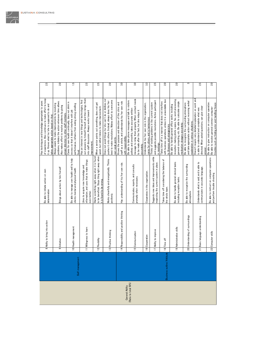|                                     | 8  | Ability to bring into action            | Be able to initiate action on own<br>determination                                                                        | of experience. Also continues to make effort to keep<br>Has techniques and knowledge appropriate to years<br>it up. Knows what he/she is supposed to do and<br>takes appropriate action based on that.                   | 2.5              |
|-------------------------------------|----|-----------------------------------------|---------------------------------------------------------------------------------------------------------------------------|--------------------------------------------------------------------------------------------------------------------------------------------------------------------------------------------------------------------------|------------------|
|                                     | ၜ  | Initiative                              | Brings about action by him/herself                                                                                        | problems, initiates the action whenever time allows.<br>Always aware to make improvements by resolving<br>Also makes effort to resolve problems by giving<br>proper direction to other staff members.                    | 2.0              |
| management<br>se⊩                   |    | 10 Health management                    | Be able to manage own health well to help<br>clients mental and physical health                                           | Cares for own health continually, does not drink in<br>performance, refrains from eating strong smelling<br>excess so that it doesn't interfere with job<br>food.                                                        | 1.5              |
|                                     |    | 11 Willingness to learn                 | information, and uses that to make things<br>Likes to acquire new knowledge and<br>even better.                           | out answers by himself/herself, and then brings them<br>Has an interest in new things and technologies, find<br>into staff discussion. Always works toward<br>mprovement.                                                | 2.5              |
|                                     |    | 12 Flexibility                          | to be beneficial. Stops thing right away when<br>Starts something right away when it is found<br>it is found to be wrong. | When a senior points out something, does not get<br>upset, but rather listens to make improvement.                                                                                                                       | 2.5              |
|                                     |    | 13 Positive thinking                    | Works cheerfully and energetically. Thinks<br>positively.                                                                 | Does not avoid things he/she can't do or dislikes nor<br>best to make resolutions. Makes effort to overcome<br>pushes it onto others. Instead, always does his/her<br>own weak points.                                   | 2.0              |
|                                     |    | 14 Responsibility and positive thinking | Has understanding of his/her own role.                                                                                    | staff as a whole, and understands his/her own role<br>Knows the purpose and direction of the clinic and<br>with responsibility                                                                                           | 3.0              |
|                                     |    | 15 Communication                        | Communicates, reports, and consults<br>promptly when necessary.                                                           | message to relay them properly. When contact needs<br>Be able to take phone messages and talk to visitors<br>politely and smoothly, takes accurate written<br>to be made after the fact, he/she relays it<br>accurately. | 3.0              |
|                                     |    | 16 Cooperation                          | Cooperates in the organization.                                                                                           | Understands his/her own role in the organization,<br>cares for others, and is harmonious.                                                                                                                                | 33               |
|                                     |    | 17 Ability to improve                   | Suggests new ideas and improvements while<br>respecting the current system in place.                                      | and suggests possible resolutions. Active participant<br>Thinks of existing problems in the current system<br>in meetings.                                                                                               | 2.5              |
| outline/Attitude<br><b>Business</b> |    | 18 Time off                             | Takes time off considering the balance of<br>the whole team.                                                              | with business operations unless it is unavoidable due<br>Takes time off in a manner that does not interfere<br>to illnesses and emergencies                                                                              | 2.0              |
|                                     |    | 19 Administrative skills                | Be able to handle general clerical tasks<br>including reception tasks.                                                    | reception, making photo copies, fax, word processing,<br>general computing, etc. Be able to calculate simple<br>Be able to handle general office works including<br>medication dosages accurately                        | 2.0              |
|                                     |    | 20 Understanding of surroundings        | Be able to recognize the surrounding<br>atmo sphere.                                                                      | and take appropriate action without receiving verbal<br>Be able to recognize the surrounding atmosphere<br>explanation in various situations.                                                                            | S                |
|                                     | 21 | Basic language understanding            | Understands what is said, and is able to<br>communicate in accurate language.                                             | Doesn't require very detailed explanation on work and<br>directed. When asked questions, can give clear<br>is able to understand and complete what was<br>answer.                                                        | 2.5              |
|                                     |    | 22 Computer skills                      | Be able to instruct on computer operations<br>and perform trouble shooting                                                | Be able to give instruction on computer operation.<br>troubles such as finding error and handling freeze<br>Be able to resolve general common computer                                                                   | $\overline{2.0}$ |



 $\frac{1}{\sqrt{1-\frac{1}{2}}\left(1-\frac{1}{2}\right)}\left(\frac{1}{2}-\frac{1}{2}\right)}\frac{1}{\sqrt{1-\frac{1}{2}}\left(1-\frac{1}{2}\right)}\frac{1}{\sqrt{1-\frac{1}{2}}\left(1-\frac{1}{2}\right)}\frac{1}{\sqrt{1-\frac{1}{2}}\left(1-\frac{1}{2}\right)}\frac{1}{\sqrt{1-\frac{1}{2}}\left(1-\frac{1}{2}\right)}\frac{1}{\sqrt{1-\frac{1}{2}}\left(1-\frac{1}{2}\right)}\frac{1}{\sqrt{1-\frac{1}{2}}\left(1-\frac{1}{2}\right$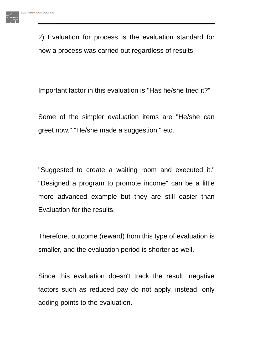2) Evaluation for process is the evaluation standard for how a process was carried out regardless of results.

Important factor in this evaluation is "Has he/she tried it?"

Some of the simpler evaluation items are "He/she can greet now." "He/she made a suggestion." etc.

"Suggested to create a waiting room and executed it." "Designed a program to promote income" can be a little more advanced example but they are still easier than Evaluation for the results.

Therefore, outcome (reward) from this type of evaluation is smaller, and the evaluation period is shorter as well.

Since this evaluation doesn't track the result, negative factors such as reduced pay do not apply, instead, only adding points to the evaluation.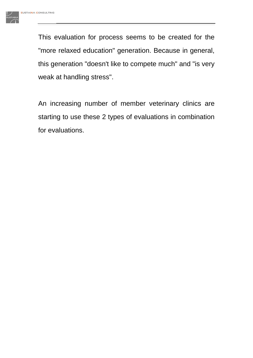This evaluation for process seems to be created for the "more relaxed education" generation. Because in general, this generation "doesn't like to compete much" and "is very weak at handling stress".

An increasing number of member veterinary clinics are starting to use these 2 types of evaluations in combination for evaluations.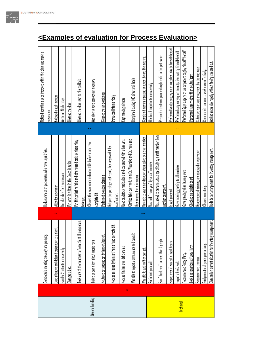|                  |          |                                                                                     |                                                                                               | Noticed something to be improved within the clinic and made a     |
|------------------|----------|-------------------------------------------------------------------------------------|-----------------------------------------------------------------------------------------------|-------------------------------------------------------------------|
|                  |          | Completed a meeting precisely and promptly                                          | Had awareness of pet owners who have unpaid fees.                                             | suggestion.                                                       |
|                  |          | $\overline{\mathbf{c}}$<br>1 client<br>Gave attentive and detailed explanation to a | Attended a seminar                                                                            | Followed a staff member                                           |
|                  |          | Handled 2 patients concurrently.                                                    | Met due date for a submission.                                                                | Wrote on Noah today                                               |
|                  |          | Changed a bed.                                                                      | Put what is written in the Credo in action.                                                   | Cleaned the drain                                                 |
|                  |          | completion.<br>Took care of the treatment of own client til                         | Put things that he/she and others used back to where they<br>belonged                         | Cleaned the drain next to the paddock                             |
| General handling |          | Talked to own client about unpaid fees                                              | Cleaned the exam room and exam table before exam then<br>completed it                         | Was able to keep appropriate inventory                            |
|                  |          | Neutered out patient cat by himself/herself                                         | Performed isolation cleaning                                                                  | Cleaned the air conditioner                                       |
|                  |          | Noticed an issue by himself/herself and corrected it.                               | Relayed the pathology test result, then organized it for<br>clarification.                    | Instructed interns nicely                                         |
|                  |          | Noticed his/her own deficiencies.                                                   | Used deadstock medications and cooperated with other vets.                                    | Kept meeting minutes                                              |
|                  | $\infty$ | Was able to report, communicate and consult.                                        | Clarified take over work from Dr. Watanabe and Dr. Hara, and<br>then relayed the information. | Completed placing 100 direct mail labels                          |
|                  |          | Was able to get his/her own job                                                     | Was able to give clear direction when asked by a staff member.                                | Completed morning inpatient treatment before the meeting          |
|                  |          | Performed good will                                                                 | Nas told "thank you" by a staff member.                                                       | Handled 3 outpatients concurrently.                               |
|                  |          | Said "thank you" to more than 3 people                                              | Was asked to perform a task specifically by a staff member from<br>another department.        | Prepared a treatment plan and explained it to the pet owner       |
|                  |          | Helped even if was out of work hours.                                               | Is well groomed                                                                               | Performed Neuter surgery on an outpatient dog by himself/herself. |
|                  |          | Helped other's work.                                                                | م<br>Gave morning greeting to all members                                                     | Performed spay surgery on an outpatient cat by himself/herself.   |
| <b>Technical</b> |          | Recommended Puppy Party.                                                            | Gave greeting when leaving work.                                                              | Performed Spay surgery on an outpatient dog by himself/herself.   |
|                  |          | Took a reservation at Puppy Party                                                   | Checked on Bulletin board.                                                                    | Performed surgery other than neuter/spay.                         |
|                  |          | Recommended trimming.                                                               | Recommended trimming and received a reservation.                                              | Submitted report and assignment by the due date.                  |
|                  |          | Sold promotional goods pro-actively.                                                | Cleaned voluntarily.                                                                          | Came up with an idea to work more effectively.                    |
|                  |          | management.<br>Checked on current situation for inventory                           | Made better arrangement for inventory management.                                             | Worked entire day happily without feeling stressed out.           |

# **<Examples of evaluation for Process Evaluation>**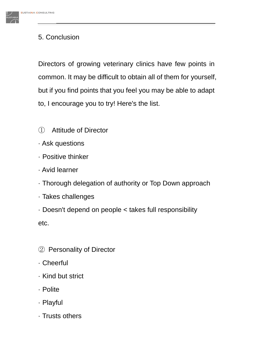# 5. Conclusion

Directors of growing veterinary clinics have few points in common. It may be difficult to obtain all of them for yourself, but if you find points that you feel you may be able to adapt to, I encourage you to try! Here's the list.

- ① Attitude of Director
- · Ask questions
- · Positive thinker
- · Avid learner
- · Thorough delegation of authority or Top Down approach
- · Takes challenges
- · Doesn't depend on people < takes full responsibility etc.
- ② Personality of Director
- · Cheerful
- · Kind but strict
- · Polite
- · Playful
- · Trusts others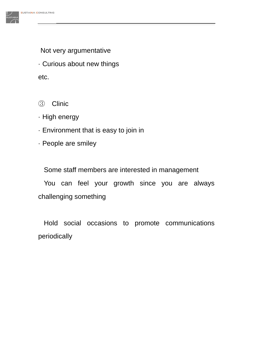

Not very argumentative

· Curious about new things

etc.

## ③ Clinic

- · High energy
- · Environment that is easy to join in
- · People are smiley

Some staff members are interested in management

You can feel your growth since you are always challenging something

Hold social occasions to promote communications periodically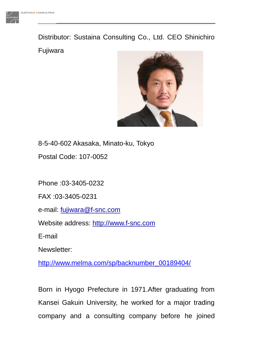Distributor: Sustaina Consulting Co., Ltd. CEO Shinichiro Fujiwara



8-5-40-602 Akasaka, Minato-ku, Tokyo

Postal Code: 107-0052

Phone :03-3405-0232

FAX :03-3405-0231

e-mail: [fujiwara@f-snc.com](mailto:fujiwara@f-snc.com)

Website address: [http://www.f-snc.com](http://www.f-snc.com/)

E-mail

Newsletter:

[http://www.melma.com/sp/backnumber\\_00189404/](http://www.melma.com/sp/backnumber_00189404/)

Born in Hyogo Prefecture in 1971.After graduating from Kansei Gakuin University, he worked for a major trading company and a consulting company before he joined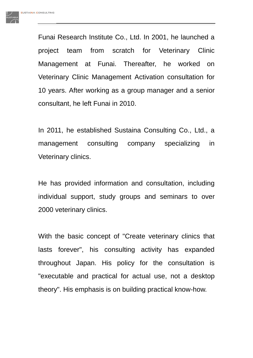Funai Research Institute Co., Ltd. In 2001, he launched a project team from scratch for Veterinary Clinic Management at Funai. Thereafter, he worked on Veterinary Clinic Management Activation consultation for 10 years. After working as a group manager and a senior consultant, he left Funai in 2010.

In 2011, he established Sustaina Consulting Co., Ltd., a management consulting company specializing in Veterinary clinics.

He has provided information and consultation, including individual support, study groups and seminars to over 2000 veterinary clinics.

With the basic concept of "Create veterinary clinics that lasts forever", his consulting activity has expanded throughout Japan. His policy for the consultation is "executable and practical for actual use, not a desktop theory". His emphasis is on building practical know-how.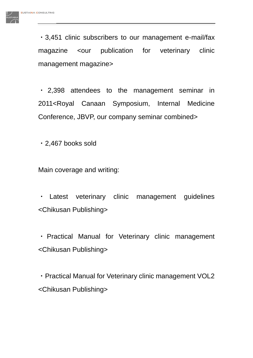・3,451 clinic subscribers to our management e-mail/fax magazine < our publication for veterinary clinic management magazine>

・ 2,398 attendees to the management seminar in 2011<Royal Canaan Symposium, Internal Medicine Conference, JBVP, our company seminar combined>

・2,467 books sold

Main coverage and writing:

・ Latest veterinary clinic management guidelines <Chikusan Publishing>

・ Practical Manual for Veterinary clinic management <Chikusan Publishing>

・Practical Manual for Veterinary clinic management VOL2 <Chikusan Publishing>